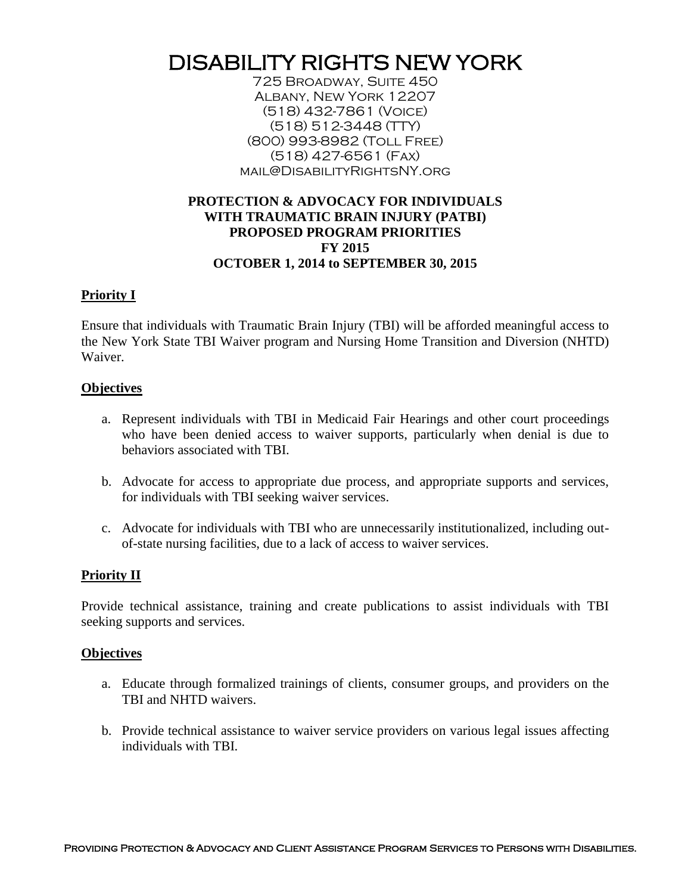# DISABILITY RIGHTS NEW YORK

725 Broadway, Suite 450 Albany, New York 12207 (518) 432-7861 (Voice) (518) 512-3448 (TTY) (800) 993-8982 (Toll Free) (518) 427-6561 (Fax) mail@DisabilityRightsNY.org

## **PROTECTION & ADVOCACY FOR INDIVIDUALS WITH TRAUMATIC BRAIN INJURY (PATBI) PROPOSED PROGRAM PRIORITIES FY 2015 OCTOBER 1, 2014 to SEPTEMBER 30, 2015**

## **Priority I**

Ensure that individuals with Traumatic Brain Injury (TBI) will be afforded meaningful access to the New York State TBI Waiver program and Nursing Home Transition and Diversion (NHTD) Waiver.

#### **Objectives**

- a. Represent individuals with TBI in Medicaid Fair Hearings and other court proceedings who have been denied access to waiver supports, particularly when denial is due to behaviors associated with TBI.
- b. Advocate for access to appropriate due process, and appropriate supports and services, for individuals with TBI seeking waiver services.
- c. Advocate for individuals with TBI who are unnecessarily institutionalized, including outof-state nursing facilities, due to a lack of access to waiver services.

## **Priority II**

Provide technical assistance, training and create publications to assist individuals with TBI seeking supports and services.

## **Objectives**

- a. Educate through formalized trainings of clients, consumer groups, and providers on the TBI and NHTD waivers.
- b. Provide technical assistance to waiver service providers on various legal issues affecting individuals with TBI.